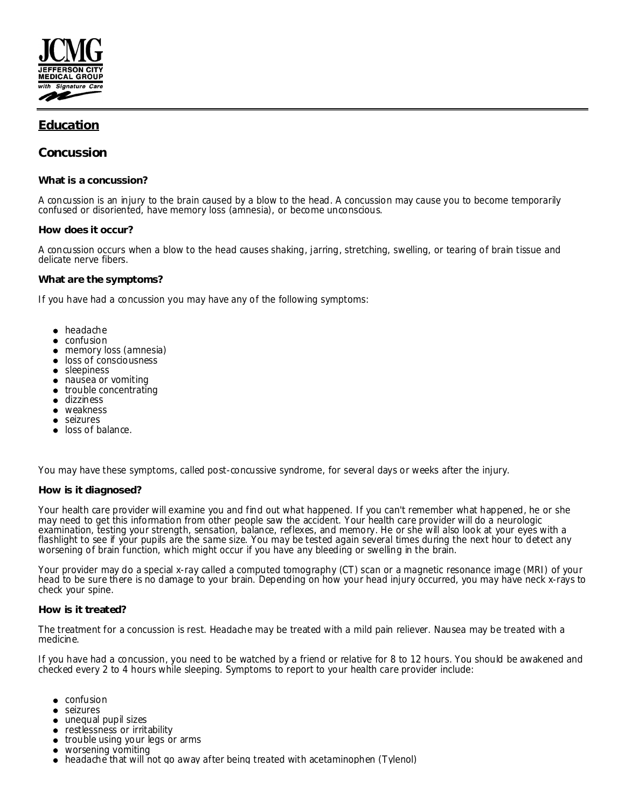

# **Education**

**Concussion**

**What is a concussion?**

A concussion is an injury to the brain caused by a blow to the head. A concussion may cause you to become temporarily confused or disoriented, have memory loss (amnesia), or become unconscious.

## **How does it occur?**

A concussion occurs when a blow to the head causes shaking, jarring, stretching, swelling, or tearing of brain tissue and delicate nerve fibers.

### **What are the symptoms?**

If you have had a concussion you may have any of the following symptoms:

- headache
- confusion
- memory loss (amnesia)
- **.** loss of consciousness
- sleepiness
- nausea or vomiting
- trouble concentrating
- dizziness
- weakness
- seizures
- loss of balance.

You may have these symptoms, called post-concussive syndrome, for several days or weeks after the injury.

**How is it diagnosed?**

Your health care provider will examine you and find out what happened. If you can't remember what happened, he or she may need to get this information from other people saw the accident. Your health care provider will do a neurologic examination, testing your strength, sensation, balance, reflexes, and memory. He or she will also look at your eyes with a flashlight to see if your pupils are the same size. You may be tested again several times during the next hour to detect any worsening of brain function, which might occur if you have any bleeding or swelling in the brain.

Your provider may do a special x-ray called a computed tomography (CT) scan or a magnetic resonance image (MRI) of your head to be sure there is no damage to your brain. Depending on how your head injury occurred, you may have neck x-rays to check your spine.

### **How is it treated?**

The treatment for a concussion is rest. Headache may be treated with a mild pain reliever. Nausea may be treated with a medicine.

If you have had a concussion, you need to be watched by a friend or relative for 8 to 12 hours. You should be awakened and checked every 2 to 4 hours while sleeping. Symptoms to report to your health care provider include:

- **•** confusion
- seizures
- unequal pupil sizes
- restlessness or irritability
- trouble using your legs or arms
- worsening vomiting
- headache that will not go away after being treated with acetaminophen (Tylenol)